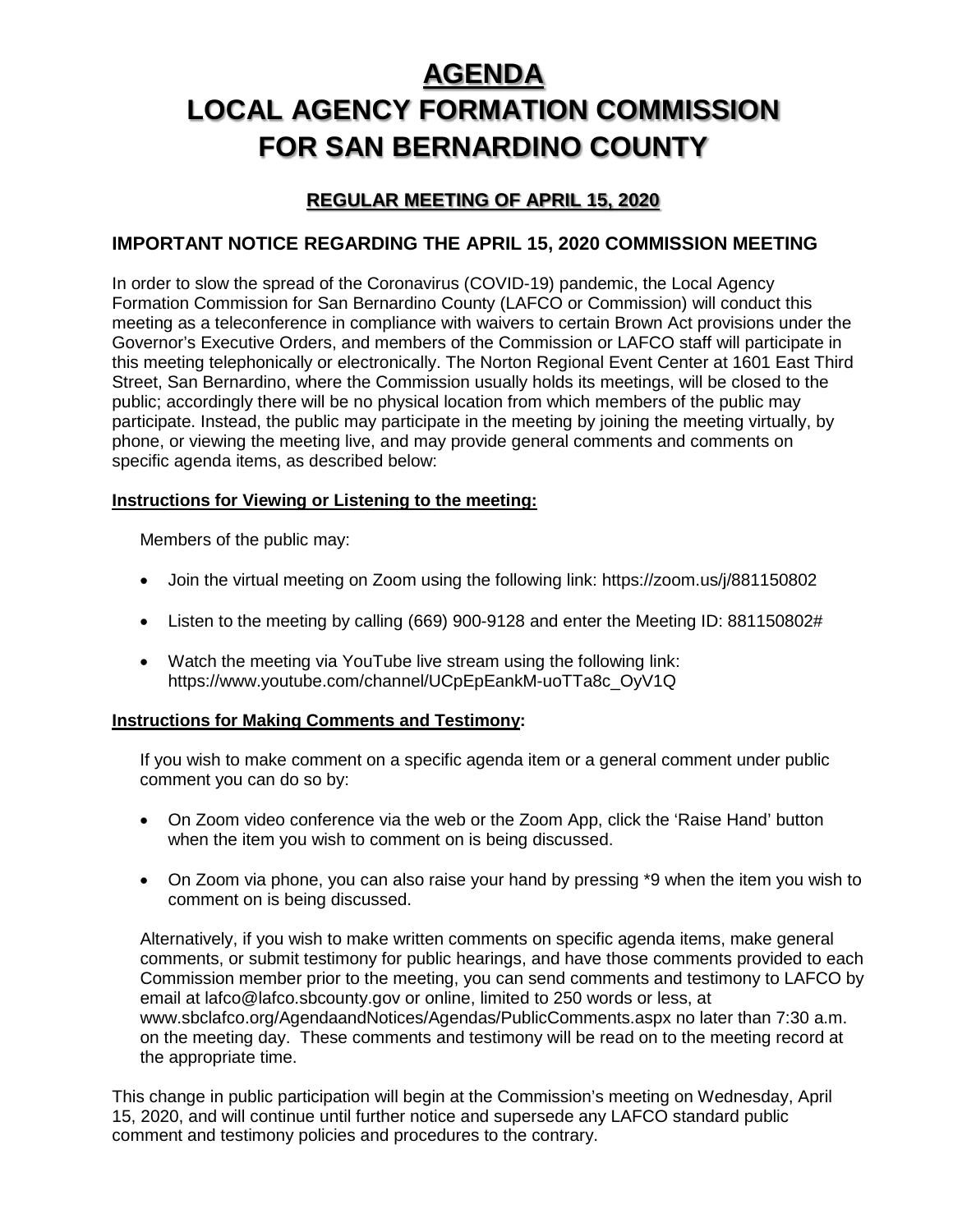# **AGENDA**

# **LOCAL AGENCY FORMATION COMMISSION FOR SAN BERNARDINO COUNTY**

# **REGULAR MEETING OF APRIL 15, 2020**

# **IMPORTANT NOTICE REGARDING THE APRIL 15, 2020 COMMISSION MEETING**

In order to slow the spread of the Coronavirus (COVID-19) pandemic, the Local Agency Formation Commission for San Bernardino County (LAFCO or Commission) will conduct this meeting as a teleconference in compliance with waivers to certain Brown Act provisions under the Governor's Executive Orders, and members of the Commission or LAFCO staff will participate in this meeting telephonically or electronically. The Norton Regional Event Center at 1601 East Third Street, San Bernardino, where the Commission usually holds its meetings, will be closed to the public; accordingly there will be no physical location from which members of the public may participate. Instead, the public may participate in the meeting by joining the meeting virtually, by phone, or viewing the meeting live, and may provide general comments and comments on specific agenda items, as described below:

### **Instructions for Viewing or Listening to the meeting:**

Members of the public may:

- Join the virtual meeting on Zoom using the following link: https://zoom.us/j/881150802
- Listen to the meeting by calling (669) 900-9128 and enter the Meeting ID: 881150802#
- Watch the meeting via YouTube live stream using the following link: https://www.youtube.com/channel/UCpEpEankM-uoTTa8c\_OyV1Q

### **Instructions for Making Comments and Testimony:**

If you wish to make comment on a specific agenda item or a general comment under public comment you can do so by:

- On Zoom video conference via the web or the Zoom App, click the 'Raise Hand' button when the item you wish to comment on is being discussed.
- On Zoom via phone, you can also raise your hand by pressing \*9 when the item you wish to comment on is being discussed.

Alternatively, if you wish to make written comments on specific agenda items, make general comments, or submit testimony for public hearings, and have those comments provided to each Commission member prior to the meeting, you can send comments and testimony to LAFCO by email at lafco@lafco.sbcounty.gov or online, limited to 250 words or less, at www.sbclafco.org/AgendaandNotices/Agendas/PublicComments.aspx no later than 7:30 a.m. on the meeting day. These comments and testimony will be read on to the meeting record at the appropriate time.

This change in public participation will begin at the Commission's meeting on Wednesday, April 15, 2020, and will continue until further notice and supersede any LAFCO standard public comment and testimony policies and procedures to the contrary.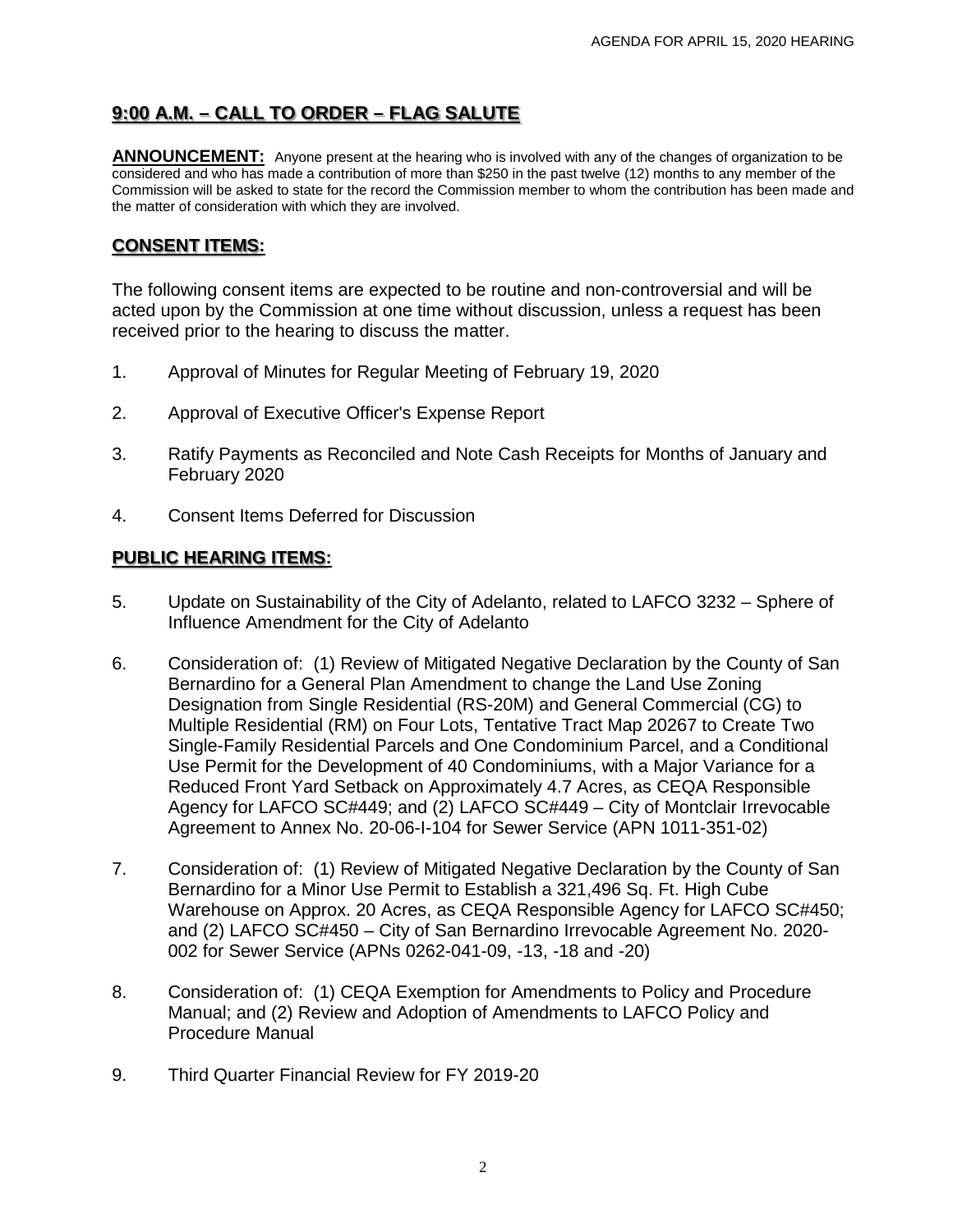# **9:00 A.M. – CALL TO ORDER – FLAG SALUTE**

**ANNOUNCEMENT:** Anyone present at the hearing who is involved with any of the changes of organization to be considered and who has made a contribution of more than \$250 in the past twelve (12) months to any member of the Commission will be asked to state for the record the Commission member to whom the contribution has been made and the matter of consideration with which they are involved.

# **CONSENT ITEMS:**

The following consent items are expected to be routine and non-controversial and will be acted upon by the Commission at one time without discussion, unless a request has been received prior to the hearing to discuss the matter.

- 1. Approval of Minutes for Regular Meeting of February 19, 2020
- 2. Approval of Executive Officer's Expense Report
- 3. Ratify Payments as Reconciled and Note Cash Receipts for Months of January and February 2020
- 4. Consent Items Deferred for Discussion

## **PUBLIC HEARING ITEMS:**

- 5. Update on Sustainability of the City of Adelanto, related to LAFCO 3232 Sphere of Influence Amendment for the City of Adelanto
- 6. Consideration of: (1) Review of Mitigated Negative Declaration by the County of San Bernardino for a General Plan Amendment to change the Land Use Zoning Designation from Single Residential (RS-20M) and General Commercial (CG) to Multiple Residential (RM) on Four Lots, Tentative Tract Map 20267 to Create Two Single-Family Residential Parcels and One Condominium Parcel, and a Conditional Use Permit for the Development of 40 Condominiums, with a Major Variance for a Reduced Front Yard Setback on Approximately 4.7 Acres, as CEQA Responsible Agency for LAFCO SC#449; and (2) LAFCO SC#449 – City of Montclair Irrevocable Agreement to Annex No. 20-06-I-104 for Sewer Service (APN 1011-351-02)
- 7. Consideration of: (1) Review of Mitigated Negative Declaration by the County of San Bernardino for a Minor Use Permit to Establish a 321,496 Sq. Ft. High Cube Warehouse on Approx. 20 Acres, as CEQA Responsible Agency for LAFCO SC#450; and (2) LAFCO SC#450 – City of San Bernardino Irrevocable Agreement No. 2020- 002 for Sewer Service (APNs 0262-041-09, -13, -18 and -20)
- 8. Consideration of: (1) CEQA Exemption for Amendments to Policy and Procedure Manual; and (2) Review and Adoption of Amendments to LAFCO Policy and Procedure Manual
- 9. Third Quarter Financial Review for FY 2019-20